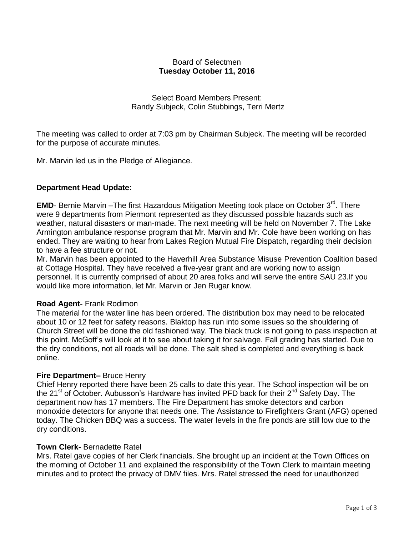## Board of Selectmen **Tuesday October 11, 2016**

Select Board Members Present: Randy Subjeck, Colin Stubbings, Terri Mertz

The meeting was called to order at 7:03 pm by Chairman Subjeck. The meeting will be recorded for the purpose of accurate minutes.

Mr. Marvin led us in the Pledge of Allegiance.

# **Department Head Update:**

**EMD**- Bernie Marvin - The first Hazardous Mitigation Meeting took place on October 3<sup>rd</sup>. There were 9 departments from Piermont represented as they discussed possible hazards such as weather, natural disasters or man-made. The next meeting will be held on November 7. The Lake Armington ambulance response program that Mr. Marvin and Mr. Cole have been working on has ended. They are waiting to hear from Lakes Region Mutual Fire Dispatch, regarding their decision to have a fee structure or not.

Mr. Marvin has been appointed to the Haverhill Area Substance Misuse Prevention Coalition based at Cottage Hospital. They have received a five-year grant and are working now to assign personnel. It is currently comprised of about 20 area folks and will serve the entire SAU 23.If you would like more information, let Mr. Marvin or Jen Rugar know.

#### **Road Agent-** Frank Rodimon

The material for the water line has been ordered. The distribution box may need to be relocated about 10 or 12 feet for safety reasons. Blaktop has run into some issues so the shouldering of Church Street will be done the old fashioned way. The black truck is not going to pass inspection at this point. McGoff's will look at it to see about taking it for salvage. Fall grading has started. Due to the dry conditions, not all roads will be done. The salt shed is completed and everything is back online.

#### **Fire Department–** Bruce Henry

Chief Henry reported there have been 25 calls to date this year. The School inspection will be on the 21<sup>st</sup> of October. Aubusson's Hardware has invited PFD back for their 2<sup>nd</sup> Safety Day. The department now has 17 members. The Fire Department has smoke detectors and carbon monoxide detectors for anyone that needs one. The Assistance to Firefighters Grant (AFG) opened today. The Chicken BBQ was a success. The water levels in the fire ponds are still low due to the dry conditions.

#### **Town Clerk-** Bernadette Ratel

Mrs. Ratel gave copies of her Clerk financials. She brought up an incident at the Town Offices on the morning of October 11 and explained the responsibility of the Town Clerk to maintain meeting minutes and to protect the privacy of DMV files. Mrs. Ratel stressed the need for unauthorized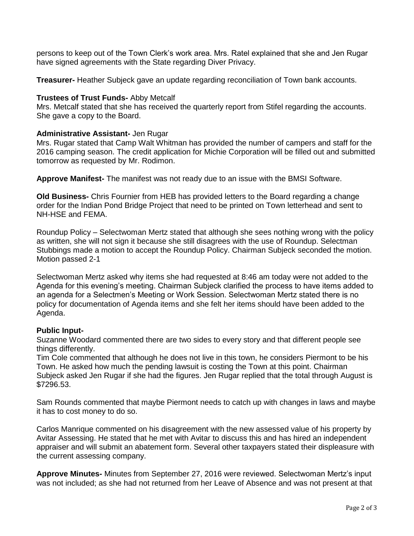persons to keep out of the Town Clerk's work area. Mrs. Ratel explained that she and Jen Rugar have signed agreements with the State regarding Diver Privacy.

**Treasurer-** Heather Subjeck gave an update regarding reconciliation of Town bank accounts.

## **Trustees of Trust Funds-** Abby Metcalf

Mrs. Metcalf stated that she has received the quarterly report from Stifel regarding the accounts. She gave a copy to the Board.

## **Administrative Assistant-** Jen Rugar

Mrs. Rugar stated that Camp Walt Whitman has provided the number of campers and staff for the 2016 camping season. The credit application for Michie Corporation will be filled out and submitted tomorrow as requested by Mr. Rodimon.

**Approve Manifest-** The manifest was not ready due to an issue with the BMSI Software.

**Old Business-** Chris Fournier from HEB has provided letters to the Board regarding a change order for the Indian Pond Bridge Project that need to be printed on Town letterhead and sent to NH-HSE and FEMA.

Roundup Policy – Selectwoman Mertz stated that although she sees nothing wrong with the policy as written, she will not sign it because she still disagrees with the use of Roundup. Selectman Stubbings made a motion to accept the Roundup Policy. Chairman Subjeck seconded the motion. Motion passed 2-1

Selectwoman Mertz asked why items she had requested at 8:46 am today were not added to the Agenda for this evening's meeting. Chairman Subjeck clarified the process to have items added to an agenda for a Selectmen's Meeting or Work Session. Selectwoman Mertz stated there is no policy for documentation of Agenda items and she felt her items should have been added to the Agenda.

#### **Public Input-**

Suzanne Woodard commented there are two sides to every story and that different people see things differently.

Tim Cole commented that although he does not live in this town, he considers Piermont to be his Town. He asked how much the pending lawsuit is costing the Town at this point. Chairman Subjeck asked Jen Rugar if she had the figures. Jen Rugar replied that the total through August is \$7296.53.

Sam Rounds commented that maybe Piermont needs to catch up with changes in laws and maybe it has to cost money to do so.

Carlos Manrique commented on his disagreement with the new assessed value of his property by Avitar Assessing. He stated that he met with Avitar to discuss this and has hired an independent appraiser and will submit an abatement form. Several other taxpayers stated their displeasure with the current assessing company.

**Approve Minutes-** Minutes from September 27, 2016 were reviewed. Selectwoman Mertz's input was not included; as she had not returned from her Leave of Absence and was not present at that